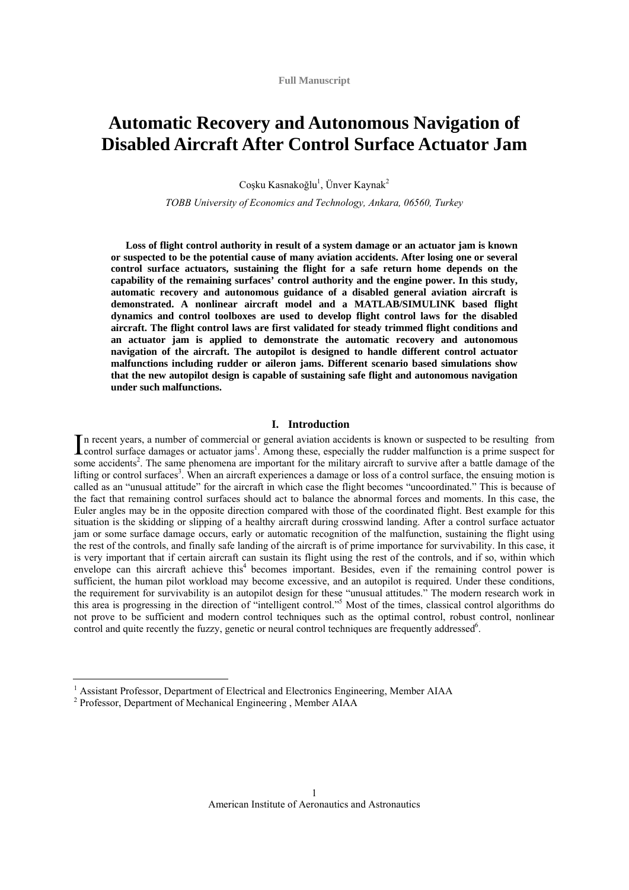# **Automatic Recovery and Autonomous Navigation of Disabled Aircraft After Control Surface Actuator Jam**

Coşku Kasnakoğlu<sup>1</sup>, Ünver Kaynak<sup>2</sup>

*TOBB University of Economics and Technology, Ankara, 06560, Turkey* 

**Loss of flight control authority in result of a system damage or an actuator jam is known or suspected to be the potential cause of many aviation accidents. After losing one or several control surface actuators, sustaining the flight for a safe return home depends on the capability of the remaining surfaces' control authority and the engine power. In this study, automatic recovery and autonomous guidance of a disabled general aviation aircraft is demonstrated. A nonlinear aircraft model and a MATLAB/SIMULINK based flight dynamics and control toolboxes are used to develop flight control laws for the disabled aircraft. The flight control laws are first validated for steady trimmed flight conditions and an actuator jam is applied to demonstrate the automatic recovery and autonomous navigation of the aircraft. The autopilot is designed to handle different control actuator malfunctions including rudder or aileron jams. Different scenario based simulations show that the new autopilot design is capable of sustaining safe flight and autonomous navigation under such malfunctions.** 

## **I. Introduction**

n recent years, a number of commercial or general aviation accidents is known or suspected to be resulting from In recent years, a number of commercial or general aviation accidents is known or suspected to be resulting from<br>
I control surface damages or actuator jams<sup>1</sup>. Among these, especially the rudder malfunction is a prime sus some accidents<sup>2</sup>. The same phenomena are important for the military aircraft to survive after a battle damage of the lifting or control surfaces<sup>3</sup>. When an aircraft experiences a damage or loss of a control surface, the ensuing motion is called as an "unusual attitude" for the aircraft in which case the flight becomes "uncoordinated." This is because of the fact that remaining control surfaces should act to balance the abnormal forces and moments. In this case, the Euler angles may be in the opposite direction compared with those of the coordinated flight. Best example for this situation is the skidding or slipping of a healthy aircraft during crosswind landing. After a control surface actuator jam or some surface damage occurs, early or automatic recognition of the malfunction, sustaining the flight using the rest of the controls, and finally safe landing of the aircraft is of prime importance for survivability. In this case, it is very important that if certain aircraft can sustain its flight using the rest of the controls, and if so, within which envelope can this aircraft achieve this<sup>4</sup> becomes important. Besides, even if the remaining control power is sufficient, the human pilot workload may become excessive, and an autopilot is required. Under these conditions, the requirement for survivability is an autopilot design for these "unusual attitudes." The modern research work in this area is progressing in the direction of "intelligent control."5 Most of the times, classical control algorithms do not prove to be sufficient and modern control techniques such as the optimal control, robust control, nonlinear control and quite recently the fuzzy, genetic or neural control techniques are frequently addressed<sup>6</sup>.

<sup>&</sup>lt;sup>1</sup> Assistant Professor, Department of Electrical and Electronics Engineering, Member AIAA

<sup>&</sup>lt;sup>2</sup> Professor, Department of Mechanical Engineering, Member AIAA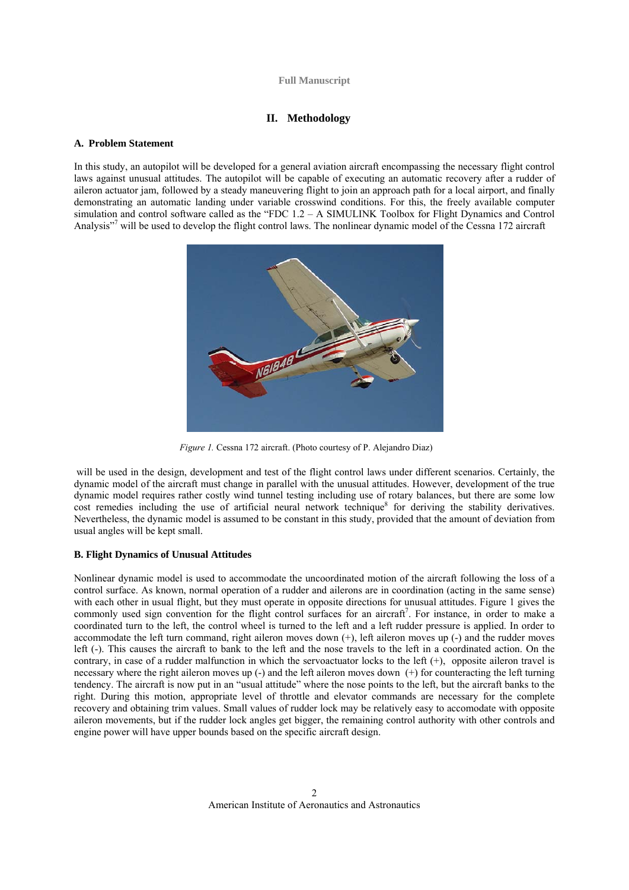## **II. Methodology**

## **A. Problem Statement**

In this study, an autopilot will be developed for a general aviation aircraft encompassing the necessary flight control laws against unusual attitudes. The autopilot will be capable of executing an automatic recovery after a rudder of aileron actuator jam, followed by a steady maneuvering flight to join an approach path for a local airport, and finally demonstrating an automatic landing under variable crosswind conditions. For this, the freely available computer simulation and control software called as the "FDC 1.2 – A SIMULINK Toolbox for Flight Dynamics and Control Analysis"<sup>7</sup> will be used to develop the flight control laws. The nonlinear dynamic model of the Cessna 172 aircraft



*Figure 1.* Cessna 172 aircraft. (Photo courtesy of P. Alejandro Diaz)

 will be used in the design, development and test of the flight control laws under different scenarios. Certainly, the dynamic model of the aircraft must change in parallel with the unusual attitudes. However, development of the true dynamic model requires rather costly wind tunnel testing including use of rotary balances, but there are some low cost remedies including the use of artificial neural network technique<sup>8</sup> for deriving the stability derivatives. Nevertheless, the dynamic model is assumed to be constant in this study, provided that the amount of deviation from usual angles will be kept small.

## **B. Flight Dynamics of Unusual Attitudes**

Nonlinear dynamic model is used to accommodate the uncoordinated motion of the aircraft following the loss of a control surface. As known, normal operation of a rudder and ailerons are in coordination (acting in the same sense) with each other in usual flight, but they must operate in opposite directions for unusual attitudes. Figure 1 gives the commonly used sign convention for the flight control surfaces for an aircraft<sup>7</sup>. For instance, in order to make a coordinated turn to the left, the control wheel is turned to the left and a left rudder pressure is applied. In order to accommodate the left turn command, right aileron moves down (+), left aileron moves up (-) and the rudder moves left (-). This causes the aircraft to bank to the left and the nose travels to the left in a coordinated action. On the contrary, in case of a rudder malfunction in which the servoactuator locks to the left (+), opposite aileron travel is necessary where the right aileron moves up (-) and the left aileron moves down (+) for counteracting the left turning tendency. The aircraft is now put in an "usual attitude" where the nose points to the left, but the aircraft banks to the right. During this motion, appropriate level of throttle and elevator commands are necessary for the complete recovery and obtaining trim values. Small values of rudder lock may be relatively easy to accomodate with opposite aileron movements, but if the rudder lock angles get bigger, the remaining control authority with other controls and engine power will have upper bounds based on the specific aircraft design.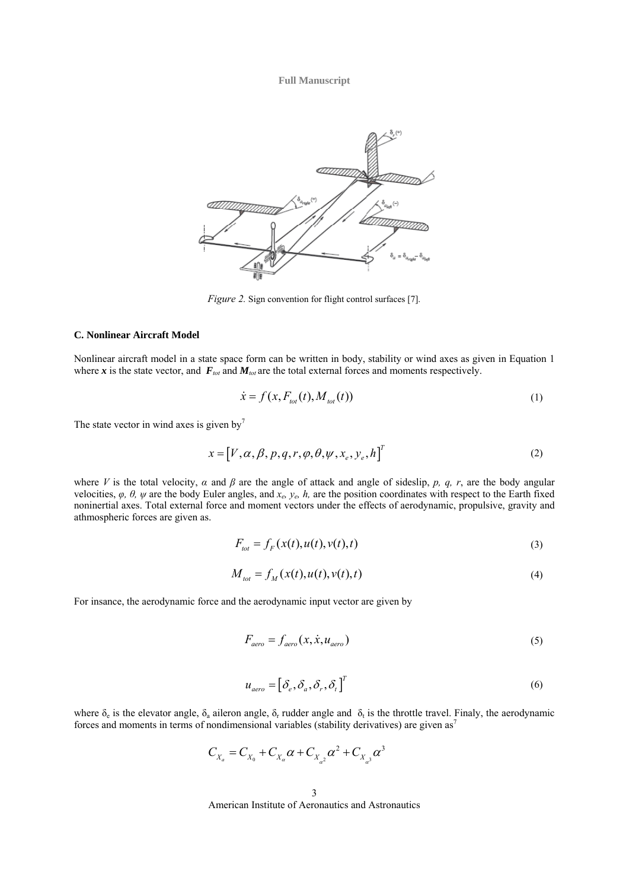

*Figure 2.* Sign convention for flight control surfaces [7].

#### **C. Nonlinear Aircraft Model**

Nonlinear aircraft model in a state space form can be written in body, stability or wind axes as given in Equation 1 where  $\boldsymbol{x}$  is the state vector, and  $\boldsymbol{F}_{tot}$  and  $\boldsymbol{M}_{tot}$  are the total external forces and moments respectively.

$$
\dot{x} = f(x, F_{tot}(t), M_{tot}(t))
$$
\n(1)

The state vector in wind axes is given by<sup>7</sup>

$$
x = [V, \alpha, \beta, p, q, r, \varphi, \theta, \psi, x_e, y_e, h]^T
$$
\n(2)

where *V* is the total velocity,  $\alpha$  and  $\beta$  are the angle of attack and angle of sideslip,  $p$ ,  $q$ ,  $r$ , are the body angular velocities,  $\varphi$ ,  $\theta$ ,  $\psi$  are the body Euler angles, and  $x_e$ ,  $y_e$ ,  $h$ , are the position coordinates with respect to the Earth fixed noninertial axes. Total external force and moment vectors under the effects of aerodynamic, propulsive, gravity and athmospheric forces are given as.

$$
F_{tot} = f_F(x(t), u(t), v(t), t)
$$
\n(3)

$$
M_{tot} = f_M(x(t), u(t), v(t), t)
$$
 (4)

For insance, the aerodynamic force and the aerodynamic input vector are given by

$$
F_{aero} = f_{aero}(x, \dot{x}, u_{aero})
$$
\n<sup>(5)</sup>

$$
u_{aero} = \left[\delta_e, \delta_a, \delta_r, \delta_t\right]^T
$$
\n(6)

where  $\delta_e$  is the elevator angle,  $\delta_a$  aileron angle,  $\delta_r$  rudder angle and  $\delta_t$  is the throttle travel. Finaly, the aerodynamic forces and moments in terms of nondimensional variables (stability derivatives) are given as<sup>7</sup>

$$
C_{X_a} = C_{X_0} + C_{X_a} \alpha + C_{X_{a^2}} \alpha^2 + C_{X_{a^3}} \alpha^3
$$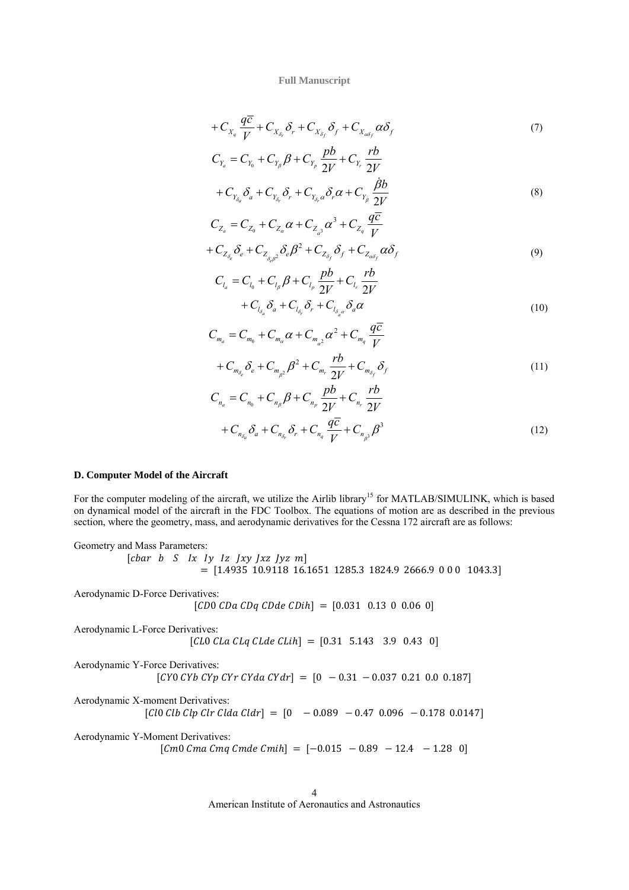$$
+C_{X_q}\frac{q\overline{c}}{V}+C_{X_{\delta_r}}\delta_r+C_{X_{\delta_f}}\delta_f+C_{X_{\alpha\delta_f}}\alpha\delta_f\tag{7}
$$

$$
C_{Y_a} = C_{Y_0} + C_{Y_\beta} \beta + C_{Y_\rho} \frac{pb}{2V} + C_{Y_r} \frac{rb}{2V}
$$
  
+ 
$$
C_{Y_{\delta_a}} \delta_a + C_{Y_{\delta_r}} \delta_r + C_{Y_{\delta_r} a} \delta_r \alpha + C_{Y_\beta} \frac{\dot{\beta}b}{2V}
$$
 (8)

$$
C_{Z_a} = C_{Z_0} + C_{Z_a} \alpha + C_{Z_{a^3}} \alpha^3 + C_{Z_q} \frac{q\overline{c}}{V}
$$

$$
+C_{Z_{\delta_e}}\delta_e + C_{Z_{\delta_e\beta^2}}\delta_e\beta^2 + C_{Z_{\delta_f}}\delta_f + C_{Z_{\alpha\delta_f}}\alpha\delta_f
$$
\n(9)

$$
C_{l_a} = C_{l_b} + C_{l_\beta} \beta + C_{l_\gamma} \frac{pb}{2V} + C_{l_\gamma} \frac{rb}{2V}
$$
  
+ 
$$
C_{l_{\delta_a}} \delta_a + C_{l_{\delta_r}} \delta_r + C_{l_{\delta_a} \delta_a} \alpha
$$
 (10)

$$
C_{m_a} = C_{m_0} + C_{m_a} \alpha + C_{m_{a^2}} \alpha^2 + C_{m_q} \frac{q\overline{c}}{V}
$$

$$
+C_{m_{\delta_e}}\delta_e + C_{m_{\beta^2}}\beta^2 + C_{m_r}\frac{\partial}{\partial V} + C_{m_{\delta_f}}\delta_f
$$
\n(11)

$$
C_{n_a} = C_{n_0} + C_{n_\beta} \beta + C_{n_p} \frac{\mu}{2V} + C_{n_r} \frac{V \nu}{2V} + C_{n_{\beta} \gamma} \frac{V \nu}{2V} + C_{n_{\beta_0}} \delta_a + C_{n_{\beta_r}} \delta_r + C_{n_{\beta_0}} \frac{q \bar{c}}{V} + C_{n_{\beta} \gamma} \beta^3
$$
\n(12)

## D. Computer Model of the Aircraft

For the computer modeling of the aircraft, we utilize the Airlib library<sup>15</sup> for MATLAB/SIMULINK, which is based on dynamical model of the aircraft in the FDC Toolbox. The equations of motion are as described in the previous section, where the geometry, mass, and aerodynamic derivatives for the Cessna 172 aircraft are as follows:

Geometry and Mass Parameters:  $[char\ b\ S\ Ix\ Iy\ Iz\ Jxy\ Jxz\ Jyz\ m]$  $=$  [1.4935 10.9118 16.1651 1285.3 1824.9 2666.9 000 1043.3] Aerodynamic D-Force Derivatives:  $[CD0 CDa CDq CDde CDih] = [0.031 0.13 0 0.06 0]$ Aerodynamic L-Force Derivatives:  $[CL0 CLa CLq CLde CLih] = [0.31 \ 5.143 \ 3.9 \ 0.43 \ 0]$ Aerodynamic Y-Force Derivatives:  $[CY0 CYb CYp CYr CYda CYdr] = [0 -0.31 -0.037 0.21 0.0 0.187]$ Aerodynamic X-moment Derivatives: [Cl0 Clb Clp Clr Clda Cldr] =  $[0 -0.089 -0.47 0.096 -0.178 0.0147]$ Aerodynamic Y-Moment Derivatives:  $[Cm0 Cma Cmq Cmde Cmih] = [-0.015 - 0.89 - 12.4 - 1.28 0]$ 

> $\overline{4}$ American Institute of Aeronautics and Astronautics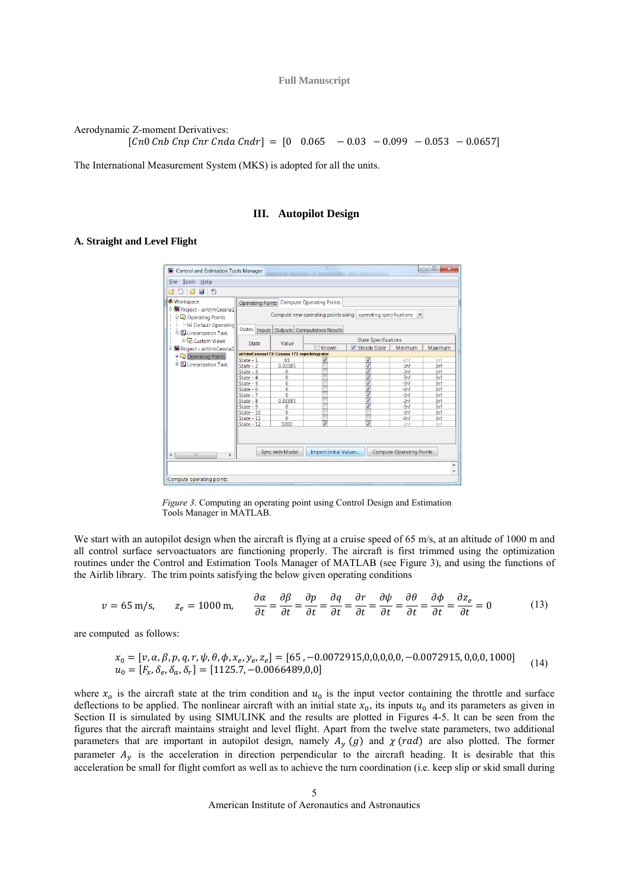Aerodynamic Z-moment Derivatives: [Cn0 Cnb Cnp Cnr Cnda Cndr] =  $[0 \ 0.065 \ -0.03 \ -0.099 \ -0.053 \ -0.0657]$ 

The International Measurement System (MKS) is adopted for all the units.

## **III.** Autopilot Design

## A. Straight and Level Flight

| Control and Estimation Tools Manager                   |                                                                             |                               | <b>ARTIST AND AND</b>       | keromaniker and Automanities |         | $\mathbf{x}$<br>$\Box$<br>U |
|--------------------------------------------------------|-----------------------------------------------------------------------------|-------------------------------|-----------------------------|------------------------------|---------|-----------------------------|
| Tools Help<br>File                                     |                                                                             |                               |                             |                              |         |                             |
| o li 9<br>۴                                            |                                                                             |                               |                             |                              |         |                             |
| <b>Workspace</b>                                       | Operating Points Compute Operating Points                                   |                               |                             |                              |         |                             |
| Project - airtrimCessna1<br>Operating Points           | Compute new operating points using operating specifications                 |                               |                             |                              |         |                             |
| Default Operating<br><sup>白-图</sup> Linearization Task | States   Inputs                                                             | Outouts   Computation Results |                             |                              |         |                             |
| <b>E</b> Custom Views                                  |                                                                             |                               | <b>State Specifications</b> |                              |         |                             |
| Project - airtrimCessna1                               | State                                                                       | Value                         | Known                       | Steady State                 | Minimum | Maximum                     |
| Operating Points                                       | airtrimCessna172/Cessna 172 /eqm/integrator                                 |                               |                             |                              |         |                             |
|                                                        | State - 1                                                                   | 65                            | J                           |                              | $-Int$  | Inf                         |
| 由 <b>同 Linearization Task</b>                          | State - $2$                                                                 | 0.33385                       |                             | ⊽                            | $-Inf$  | Inf                         |
|                                                        | State - 3                                                                   | 0                             |                             | $\overline{\bm{J}}$          | $-Inf$  | Inf                         |
|                                                        | State - 4                                                                   | 0                             |                             | $\overline{\mathsf{v}}$      | $-Inf$  | Inf                         |
|                                                        | State - 5                                                                   | O                             |                             | V                            | -Inf    | Inf                         |
|                                                        | State $-6$                                                                  | 0                             |                             | $\overline{J}$               | -Inf    | Inf                         |
|                                                        | State - 7                                                                   | Ō                             |                             | $\overline{\mathsf{v}}$      | -Inf    | Inf                         |
|                                                        | State - 8                                                                   | 0.33385                       |                             | J                            | $-Inf$  | Inf                         |
|                                                        | State - 9                                                                   | 0                             |                             | $\overline{J}$               | $-Inf$  | Inf                         |
|                                                        | State - 10                                                                  | 0                             |                             |                              | $-Inf$  | Inf                         |
|                                                        | State - 11                                                                  | 0                             |                             |                              | $-Inf$  | Inf                         |
|                                                        | State - 12                                                                  | 1000                          | ⊽                           | V                            | $-Inf$  | Inf                         |
| 111<br>Þ                                               | Import Initial Values<br><b>Compute Operating Points</b><br>Sync with Model |                               |                             |                              |         |                             |
| ▲<br>$\overline{\phantom{a}}$                          |                                                                             |                               |                             |                              |         |                             |
| Compute operating points.                              |                                                                             |                               |                             |                              |         |                             |

Figure 3. Computing an operating point using Control Design and Estimation Tools Manager in MATLAB.

We start with an autopilot design when the aircraft is flying at a cruise speed of 65 m/s, at an altitude of 1000 m and all control surface servoactuators are functioning properly. The aircraft is first trimmed using the optimization routines under the Control and Estimation Tools Manager of MATLAB (see Figure 3), and using the functions of the Airlib library. The trim points satisfying the below given operating conditions

$$
v = 65 \text{ m/s},
$$
  $z_e = 1000 \text{ m},$   $\frac{\partial \alpha}{\partial t} = \frac{\partial \beta}{\partial t} = \frac{\partial p}{\partial t} = \frac{\partial q}{\partial t} = \frac{\partial r}{\partial t} = \frac{\partial \psi}{\partial t} = \frac{\partial \theta}{\partial t} = \frac{\partial \phi}{\partial t} = \frac{\partial z_e}{\partial t} = 0$  (13)

are computed as follows:

$$
x_0 = [v, \alpha, \beta, p, q, r, \psi, \theta, \phi, x_e, y_e, z_e] = [65, -0.0072915, 0, 0, 0, 0, -0.0072915, 0, 0, 0, 1000]
$$
  

$$
u_0 = [F_x, \delta_e, \delta_a, \delta_r] = [1125.7, -0.0066489, 0, 0]
$$
 (14)

where  $x_0$  is the aircraft state at the trim condition and  $u_0$  is the input vector containing the throttle and surface deflections to be applied. The nonlinear aircraft with an initial state  $x_0$ , its inputs  $u_0$  and its parameters as given in Section II is simulated by using SIMULINK and the results are plotted in Figures 4-5. It can be seen from the figures that the aircraft maintains straight and level flight. Apart from the twelve state parameters, two additional parameters that are important in autopilot design, namely  $A_y(g)$  and  $\chi (rad)$  are also plotted. The former parameter  $A_y$  is the acceleration in direction perpendicular to the aircraft heading. It is desirable that this acceleration be small for flight comfort as well as to achieve the turn coordination (i.e. keep slip or skid small during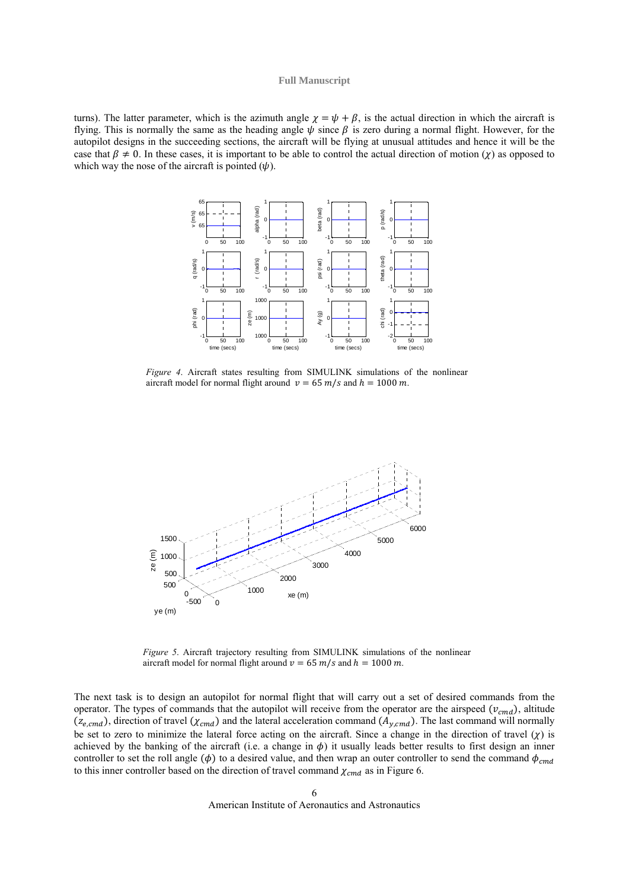turns). The latter parameter, which is the azimuth angle  $\chi = \psi + \beta$ , is the actual direction in which the aircraft is flying. This is normally the same as the heading angle  $\psi$  since  $\beta$  is zero during a normal flight. However, for the autopilot designs in the succeeding sections, the aircraft will be flying at unusual attitudes and hence it will be the case that  $\beta \neq 0$ . In these cases, it is important to be able to control the actual direction of motion ( $\chi$ ) as opposed to which way the nose of the aircraft is pointed  $(\psi)$ .



*Figure 4*. Aircraft states resulting from SIMULINK simulations of the nonlinear aircraft model for normal flight around  $v = 65$  m/s and  $h = 1000$  m.



*Figure 5*. Aircraft trajectory resulting from SIMULINK simulations of the nonlinear aircraft model for normal flight around  $v = 65$  m/s and  $h = 1000$  m.

The next task is to design an autopilot for normal flight that will carry out a set of desired commands from the operator. The types of commands that the autopilot will receive from the operator are the airspeed  $(v_{cmd})$ , altitude  $(z_{e,cmd})$ , direction of travel  $(\chi_{cmd})$  and the lateral acceleration command  $(A_{y,cmd})$ . The last command will normally be set to zero to minimize the lateral force acting on the aircraft. Since a change in the direction of travel  $(\chi)$  is achieved by the banking of the aircraft (i.e. a change in  $\phi$ ) it usually leads better results to first design an inner controller to set the roll angle  $(\phi)$  to a desired value, and then wrap an outer controller to send the command  $\phi_{cmd}$ to this inner controller based on the direction of travel command  $\chi_{cmd}$  as in Figure 6.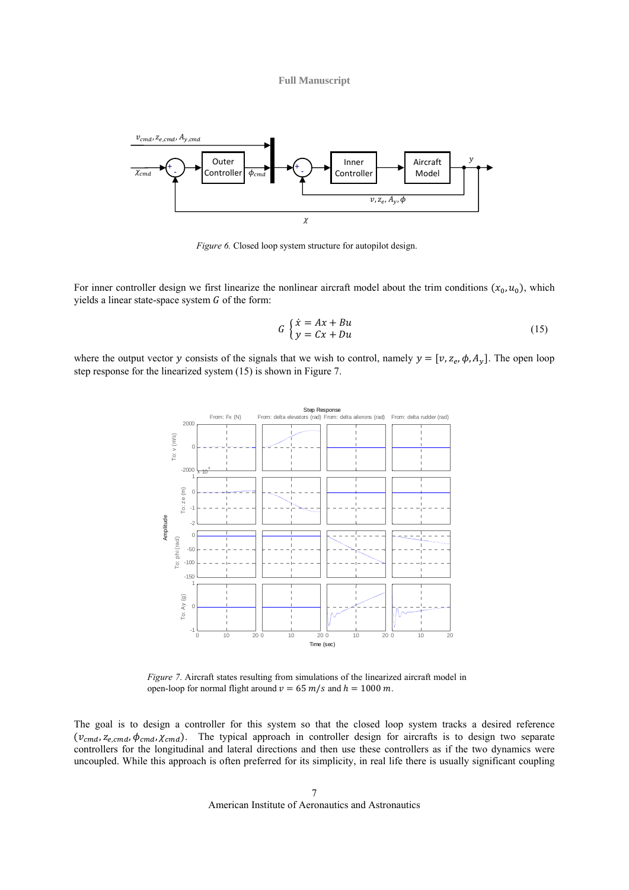

*Figure 6.* Closed loop system structure for autopilot design.

For inner controller design we first linearize the nonlinear aircraft model about the trim conditions  $(x_0, u_0)$ , which yields a linear state-space system  $G$  of the form:

$$
G\begin{cases} \dot{x} = Ax + Bu \\ y = Cx + Du \end{cases}
$$
\n(15)

where the output vector y consists of the signals that we wish to control, namely  $y = [v, z_e, \phi, A_v]$ . The open loop step response for the linearized system (15) is shown in Figure 7.



*Figure 7.* Aircraft states resulting from simulations of the linearized aircraft model in open-loop for normal flight around  $v = 65$  m/s and  $h = 1000$  m.

The goal is to design a controller for this system so that the closed loop system tracks a desired reference  $(v_{cmd}, z_{ecmd}, \phi_{cmd}, \chi_{cmd})$ . The typical approach in controller design for aircrafts is to design two separate controllers for the longitudinal and lateral directions and then use these controllers as if the two dynamics were uncoupled. While this approach is often preferred for its simplicity, in real life there is usually significant coupling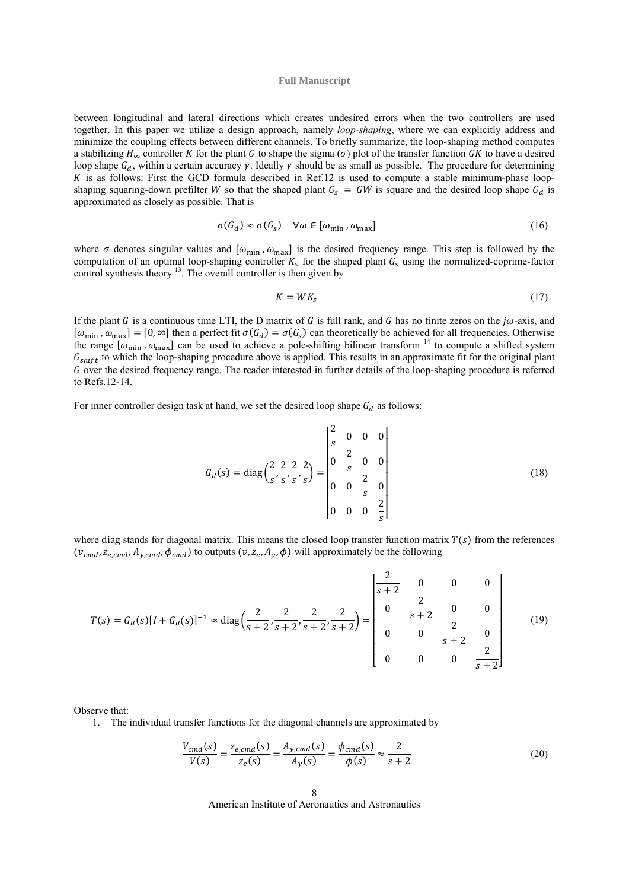between longitudinal and lateral directions which creates undesired errors when the two controllers are used together. In this paper we utilize a design approach, namely *loop-shaping*, where we can explicitly address and minimize the coupling effects between different channels. To briefly summarize, the loop-shaping method computes a stabilizing  $H_{\infty}$  controller K for the plant G to shape the sigma ( $\sigma$ ) plot of the transfer function GK to have a desired loop shape  $G_d$ , within a certain accuracy  $\gamma$ . Ideally  $\gamma$  should be as small as possible. The procedure for determining  $K$  is as follows: First the GCD formula described in Ref.12 is used to compute a stable minimum-phase loopshaping squaring-down prefilter W so that the shaped plant  $G_s = GW$  is square and the desired loop shape  $G_d$  is approximated as closely as possible. That is

$$
\sigma(G_d) \approx \sigma(G_s) \quad \forall \omega \in [\omega_{\min}, \omega_{\max}] \tag{16}
$$

where  $\sigma$  denotes singular values and  $[\omega_{min}, \omega_{max}]$  is the desired frequency range. This step is followed by the computation of an optimal loop-shaping controller  $K_s$  for the shaped plant  $G_s$  using the normalized-coprime-factor control synthesis theory  $13$ . The overall controller is then given by

$$
K = W K_s \tag{17}
$$

If the plant G is a continuous time LTI, the D matrix of G is full rank, and G has no finite zeros on the  $j\omega$ -axis, and  $[\omega_{\text{min}}], \omega_{\text{max}}] = [0, \infty]$  then a perfect fit  $\sigma(G_d) = \sigma(G_s)$  can theoretically be achieved for all frequencies. Otherwise the range  $[\omega_{min}, \omega_{max}]$  can be used to achieve a pole-shifting bilinear transform <sup>14</sup> to compute a shifted system  $G_{shift}$  to which the loop-shaping procedure above is applied. This results in an approximate fit for the original plant ܩ over the desired frequency range. The reader interested in further details of the loop-shaping procedure is referred to Refs.12-14.

For inner controller design task at hand, we set the desired loop shape  $G_d$  as follows:

$$
G_d(s) = \text{diag}\left(\frac{2}{s}, \frac{2}{s}, \frac{2}{s}, \frac{2}{s}\right) = \begin{bmatrix} \frac{2}{s} & 0 & 0 & 0\\ 0 & \frac{2}{s} & 0 & 0\\ 0 & 0 & \frac{2}{s} & 0\\ 0 & 0 & 0 & \frac{2}{s} \end{bmatrix}
$$
(18)

where diag stands for diagonal matrix. This means the closed loop transfer function matrix  $T(s)$  from the references  $(v_{cmd}, z_{e,cmd}, A_{y,cmd}, \phi_{cmd})$  to outputs  $(v, z_e, A_y, \phi)$  will approximately be the following

$$
T(s) = G_d(s)[I + G_d(s)]^{-1} \approx \text{diag}\left(\frac{2}{s+2}, \frac{2}{s+2}, \frac{2}{s+2}, \frac{2}{s+2}\right) = \begin{bmatrix} \frac{2}{s+2} & 0 & 0 & 0\\ 0 & \frac{2}{s+2} & 0 & 0\\ 0 & 0 & \frac{2}{s+2} & 0\\ 0 & 0 & 0 & \frac{2}{s+2} \end{bmatrix}
$$
(19)

Observe that:

1. The individual transfer functions for the diagonal channels are approximated by

$$
\frac{V_{cmd}(s)}{V(s)} = \frac{z_{e,cmd}(s)}{z_e(s)} = \frac{A_{y,cmd}(s)}{A_y(s)} = \frac{\phi_{cmd}(s)}{\phi(s)} \approx \frac{2}{s+2}
$$
(20)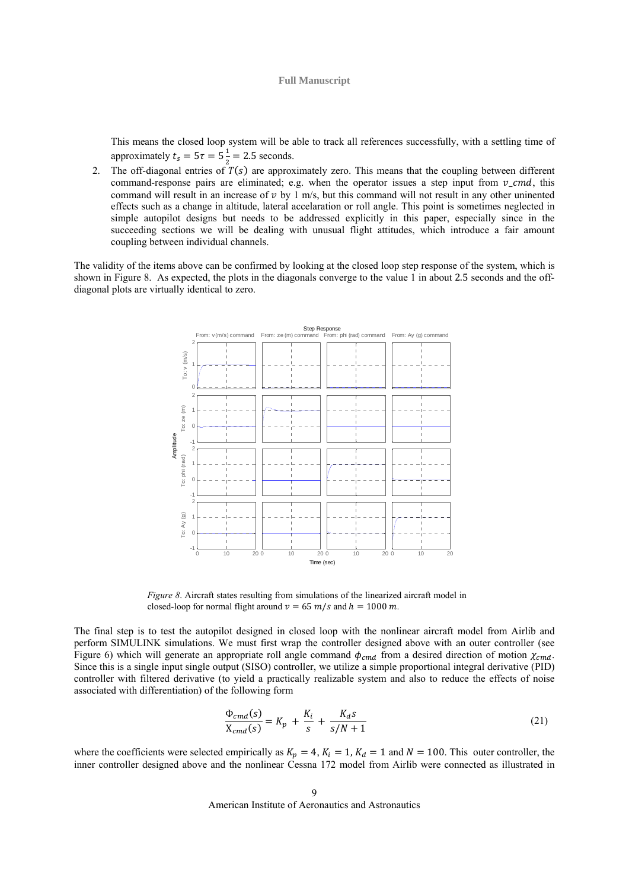This means the closed loop system will be able to track all references successfully, with a settling time of approximately  $t_s = 5\tau = 5\frac{1}{2} = 2.5$  seconds.

2. The off-diagonal entries of  $T(s)$  are approximately zero. This means that the coupling between different command-response pairs are eliminated; e.g. when the operator issues a step input from  $v\_{cmd}$ , this command will result in an increase of  $\nu$  by 1 m/s, but this command will not result in any other uninented effects such as a change in altitude, lateral accelaration or roll angle. This point is sometimes neglected in simple autopilot designs but needs to be addressed explicitly in this paper, especially since in the succeeding sections we will be dealing with unusual flight attitudes, which introduce a fair amount coupling between individual channels.

The validity of the items above can be confirmed by looking at the closed loop step response of the system, which is shown in Figure 8. As expected, the plots in the diagonals converge to the value 1 in about 2.5 seconds and the offdiagonal plots are virtually identical to zero.



*Figure 8*. Aircraft states resulting from simulations of the linearized aircraft model in closed-loop for normal flight around  $v = 65$  m/s and  $h = 1000$  m.

The final step is to test the autopilot designed in closed loop with the nonlinear aircraft model from Airlib and perform SIMULINK simulations. We must first wrap the controller designed above with an outer controller (see Figure 6) which will generate an appropriate roll angle command  $\phi_{cmd}$  from a desired direction of motion  $\chi_{cmd}$ . Since this is a single input single output (SISO) controller, we utilize a simple proportional integral derivative (PID) controller with filtered derivative (to yield a practically realizable system and also to reduce the effects of noise associated with differentiation) of the following form

$$
\frac{\Phi_{cmd}(s)}{X_{cmd}(s)} = K_p + \frac{K_i}{s} + \frac{K_d s}{s/N + 1}
$$
\n(21)

where the coefficients were selected empirically as  $K_p = 4$ ,  $K_i = 1$ ,  $K_d = 1$  and  $N = 100$ . This outer controller, the inner controller designed above and the nonlinear Cessna 172 model from Airlib were connected as illustrated in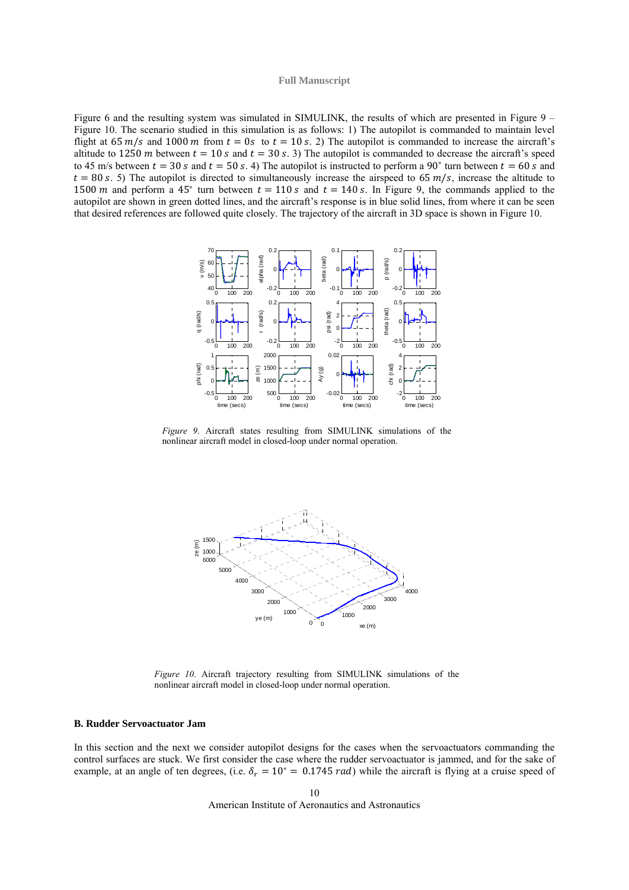Figure 6 and the resulting system was simulated in SIMULINK, the results of which are presented in Figure 9 – Figure 10. The scenario studied in this simulation is as follows: 1) The autopilot is commanded to maintain level flight at 65  $m/s$  and 1000 m from  $t = 0s$  to  $t = 10 s$ . 2) The autopilot is commanded to increase the aircraft's altitude to 1250 m between  $t = 10 s$  and  $t = 30 s$ . 3) The autopilot is commanded to decrease the aircraft's speed to 45 m/s between  $t = 30 s$  and  $t = 50 s$ . 4) The autopilot is instructed to perform a 90° turn between  $t = 60 s$  and  $t = 80 s$ . 5) The autopilot is directed to simultaneously increase the airspeed to 65  $m/s$ , increase the altitude to 1500 m and perform a 45° turn between  $t = 110 s$  and  $t = 140 s$ . In Figure 9, the commands applied to the autopilot are shown in green dotted lines, and the aircraft's response is in blue solid lines, from where it can be seen that desired references are followed quite closely. The trajectory of the aircraft in 3D space is shown in Figure 10.



*Figure 9*. Aircraft states resulting from SIMULINK simulations of the nonlinear aircraft model in closed-loop under normal operation.



*Figure 10*. Aircraft trajectory resulting from SIMULINK simulations of the nonlinear aircraft model in closed-loop under normal operation.

## **B. Rudder Servoactuator Jam**

In this section and the next we consider autopilot designs for the cases when the servoactuators commanding the control surfaces are stuck. We first consider the case where the rudder servoactuator is jammed, and for the sake of example, at an angle of ten degrees, (i.e.  $\delta_r = 10^\circ = 0.1745 \, rad$ ) while the aircraft is flying at a cruise speed of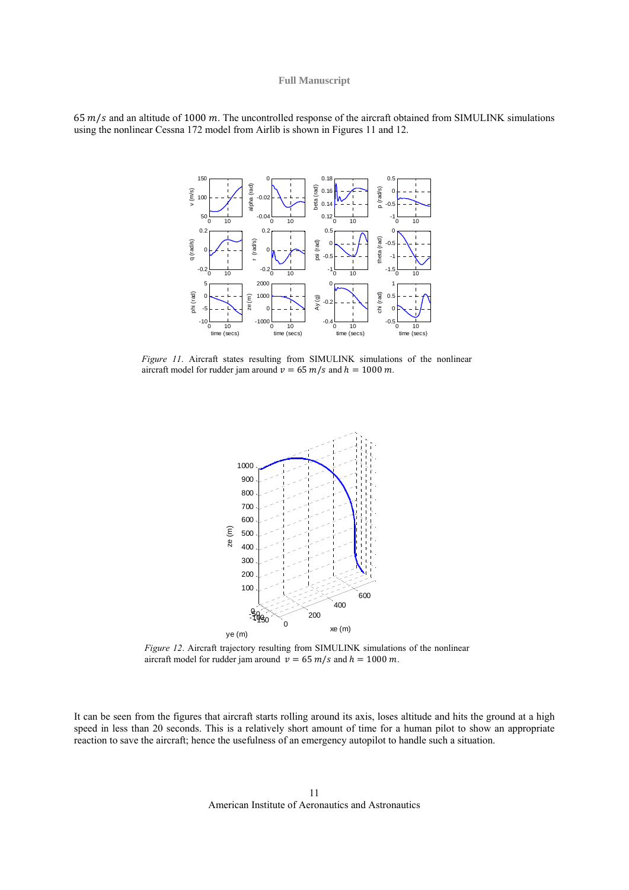65 m/s and an altitude of 1000 m. The uncontrolled response of the aircraft obtained from SIMULINK simulations using the nonlinear Cessna 172 model from Airlib is shown in Figures 11 and 12.



*Figure 11*. Aircraft states resulting from SIMULINK simulations of the nonlinear aircraft model for rudder jam around  $v = 65$  m/s and  $h = 1000$  m.



*Figure 12*. Aircraft trajectory resulting from SIMULINK simulations of the nonlinear aircraft model for rudder jam around  $v = 65$  m/s and  $h = 1000$  m.

It can be seen from the figures that aircraft starts rolling around its axis, loses altitude and hits the ground at a high speed in less than 20 seconds. This is a relatively short amount of time for a human pilot to show an appropriate reaction to save the aircraft; hence the usefulness of an emergency autopilot to handle such a situation.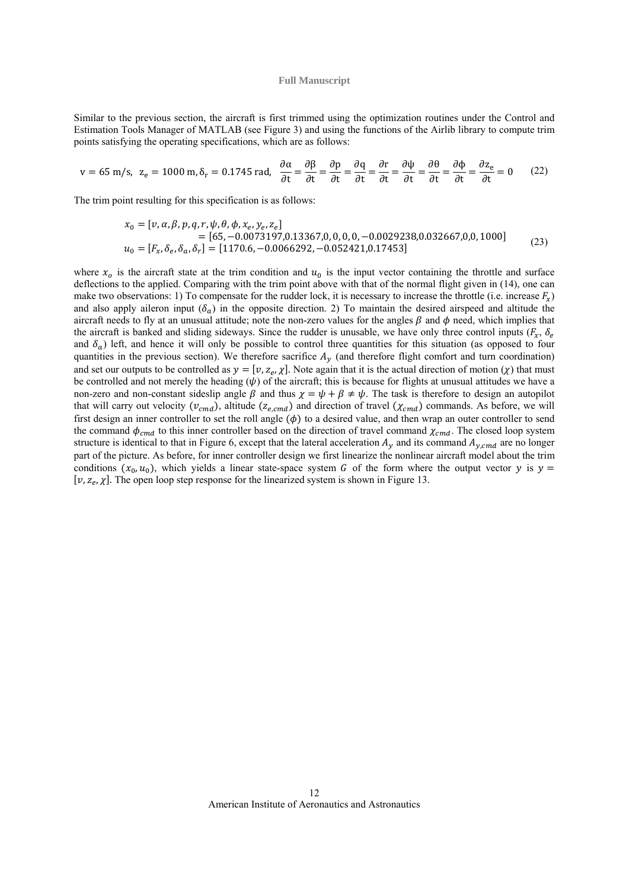Similar to the previous section, the aircraft is first trimmed using the optimization routines under the Control and Estimation Tools Manager of MATLAB (see Figure 3) and using the functions of the Airlib library to compute trim points satisfying the operating specifications, which are as follows:

$$
v = 65 \text{ m/s}, \ z_e = 1000 \text{ m}, \delta_r = 0.1745 \text{ rad}, \ \frac{\partial \alpha}{\partial t} = \frac{\partial \beta}{\partial t} = \frac{\partial p}{\partial t} = \frac{\partial q}{\partial t} = \frac{\partial r}{\partial t} = \frac{\partial \psi}{\partial t} = \frac{\partial \theta}{\partial t} = \frac{\partial \phi}{\partial t} = \frac{\partial z_e}{\partial t} = 0
$$
 (22)

The trim point resulting for this specification is as follows:

$$
x_0 = [v, \alpha, \beta, p, q, r, \psi, \theta, \phi, x_e, y_e, z_e]
$$
  
= [65, -0.0073197, 0.13367, 0, 0, 0, 0, -0.0029238, 0.032667, 0, 0, 1000]  

$$
u_0 = [F_x, \delta_e, \delta_a, \delta_r] = [1170.6, -0.0066292, -0.052421, 0.17453]
$$
 (23)

where  $x_0$  is the aircraft state at the trim condition and  $u_0$  is the input vector containing the throttle and surface deflections to the applied. Comparing with the trim point above with that of the normal flight given in (14), one can make two observations: 1) To compensate for the rudder lock, it is necessary to increase the throttle (i.e. increase  $F_r$ ) and also apply alleron input  $(\delta_q)$  in the opposite direction. 2) To maintain the desired airspeed and altitude the aircraft needs to fly at an unusual attitude; note the non-zero values for the angles  $\beta$  and  $\phi$  need, which implies that the aircraft is banked and sliding sideways. Since the rudder is unusable, we have only three control inputs  $(F_r, \delta_e)$ and  $\delta_a$ ) left, and hence it will only be possible to control three quantities for this situation (as opposed to four quantities in the previous section). We therefore sacrifice  $A<sub>v</sub>$  (and therefore flight comfort and turn coordination) and set our outputs to be controlled as  $y = [v, z_e, \chi]$ . Note again that it is the actual direction of motion ( $\chi$ ) that must be controlled and not merely the heading  $(\psi)$  of the aircraft; this is because for flights at unusual attitudes we have a non-zero and non-constant sideslip angle  $\beta$  and thus  $\gamma = \psi + \beta \neq \psi$ . The task is therefore to design an autopilot that will carry out velocity ( $v_{cmd}$ ), altitude ( $z_{e,cmd}$ ) and direction of travel ( $\chi_{cmd}$ ) commands. As before, we will first design an inner controller to set the roll angle  $(\phi)$  to a desired value, and then wrap an outer controller to send the command  $\phi_{cmd}$  to this inner controller based on the direction of travel command  $\chi_{cmd}$ . The closed loop system structure is identical to that in Figure 6, except that the lateral acceleration  $A_y$  and its command  $A_{y,cmd}$  are no longer part of the picture. As before, for inner controller design we first linearize the nonlinear aircraft model about the trim conditions  $(x_0, u_0)$ , which yields a linear state-space system G of the form where the output vector y is  $y =$  $[v, z_e, \chi]$ . The open loop step response for the linearized system is shown in Figure 13.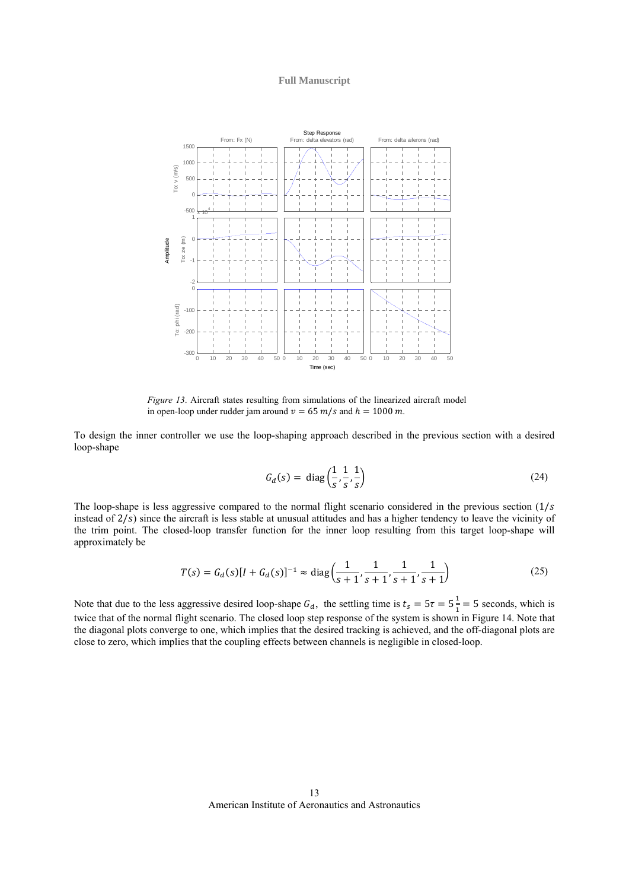

*Figure 13.* Aircraft states resulting from simulations of the linearized aircraft model in open-loop under rudder jam around  $v = 65$  m/s and  $h = 1000$  m.

To design the inner controller we use the loop-shaping approach described in the previous section with a desired loop-shape

$$
G_d(s) = \text{diag}\left(\frac{1}{s}, \frac{1}{s}, \frac{1}{s}\right) \tag{24}
$$

The loop-shape is less aggressive compared to the normal flight scenario considered in the previous section  $(1/s)$ instead of  $2/s$  since the aircraft is less stable at unusual attitudes and has a higher tendency to leave the vicinity of the trim point. The closed-loop transfer function for the inner loop resulting from this target loop-shape will approximately be

$$
T(s) = G_d(s)[I + G_d(s)]^{-1} \approx \text{diag}\left(\frac{1}{s+1}, \frac{1}{s+1}, \frac{1}{s+1}, \frac{1}{s+1}\right) \tag{25}
$$

Note that due to the less aggressive desired loop-shape  $G_d$ , the settling time is  $t_s = 5\tau = 5\frac{1}{1} = 5$  seconds, which is twice that of the normal flight scenario. The closed loop step response of the system is shown in Figure 14. Note that the diagonal plots converge to one, which implies that the desired tracking is achieved, and the off-diagonal plots are close to zero, which implies that the coupling effects between channels is negligible in closed-loop.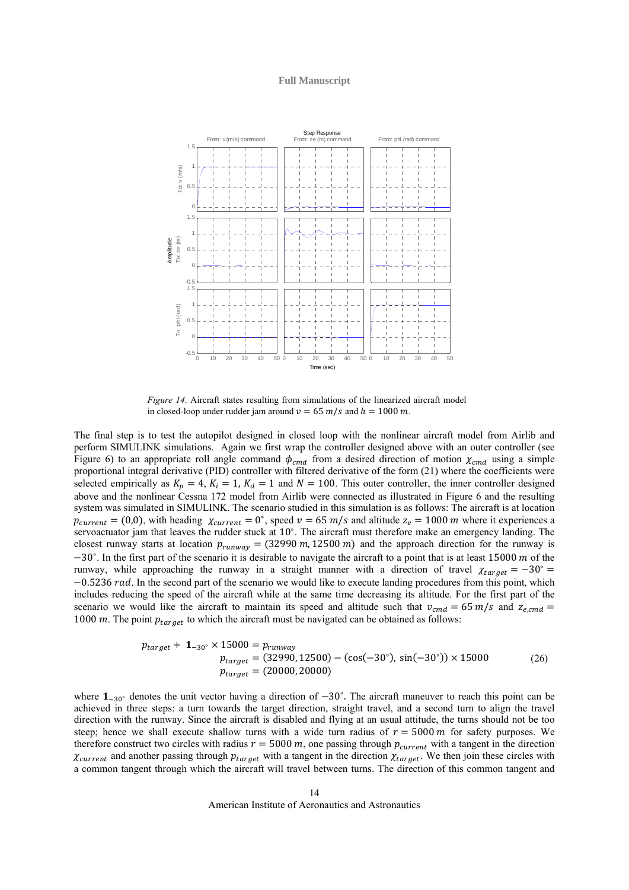

*Figure 14.* Aircraft states resulting from simulations of the linearized aircraft model in closed-loop under rudder jam around  $v = 65$  m/s and  $h = 1000$  m.

The final step is to test the autopilot designed in closed loop with the nonlinear aircraft model from Airlib and perform SIMULINK simulations. Again we first wrap the controller designed above with an outer controller (see Figure 6) to an appropriate roll angle command  $\phi_{cmd}$  from a desired direction of motion  $\chi_{cmd}$  using a simple proportional integral derivative (PID) controller with filtered derivative of the form (21) where the coefficients were selected empirically as  $K_p = 4$ ,  $K_i = 1$ ,  $K_d = 1$  and  $N = 100$ . This outer controller, the inner controller designed above and the nonlinear Cessna 172 model from Airlib were connected as illustrated in Figure 6 and the resulting system was simulated in SIMULINK. The scenario studied in this simulation is as follows: The aircraft is at location  $p_{current} = (0,0)$ , with heading  $\chi_{current} = 0^{\circ}$ , speed  $v = 65$  m/s and altitude  $z_e = 1000$  m where it experiences a servoactuator jam that leaves the rudder stuck at 10°. The aircraft must therefore make an emergency landing. The closest runway starts at location  $p_{runway} = (32990 \, m, 12500 \, m)$  and the approach direction for the runway is  $-30^\circ$ . In the first part of the scenario it is desirable to navigate the aircraft to a point that is at least 15000 m of the runway, while approaching the runway in a straight manner with a direction of travel  $\chi_{target} = -30^{\circ} =$  $-0.5236$   $rad$ . In the second part of the scenario we would like to execute landing procedures from this point, which includes reducing the speed of the aircraft while at the same time decreasing its altitude. For the first part of the scenario we would like the aircraft to maintain its speed and altitude such that  $v_{cmd} = 65 \frac{m}{s}$  and  $z_{ecmd} =$ 1000 m. The point  $p_{target}$  to which the aircraft must be navigated can be obtained as follows:

$$
p_{target} + \mathbf{1}_{-30^{\circ}} \times 15000 = p_{runway}
$$
  
\n
$$
p_{target} = (32990, 12500) - (\cos(-30^{\circ}), \sin(-30^{\circ})) \times 15000
$$
  
\n
$$
p_{target} = (20000, 20000)
$$
 (26)

where  $1_{-30}$ <sup>o</sup> denotes the unit vector having a direction of  $-30^\circ$ . The aircraft maneuver to reach this point can be achieved in three steps: a turn towards the target direction, straight travel, and a second turn to align the travel direction with the runway. Since the aircraft is disabled and flying at an usual attitude, the turns should not be too steep; hence we shall execute shallow turns with a wide turn radius of  $r = 5000 \, \text{m}$  for safety purposes. We therefore construct two circles with radius  $r = 5000$  m, one passing through  $p_{current}$  with a tangent in the direction  $\chi_{current}$  and another passing through  $p_{target}$  with a tangent in the direction  $\chi_{target}$ . We then join these circles with a common tangent through which the aircraft will travel between turns. The direction of this common tangent and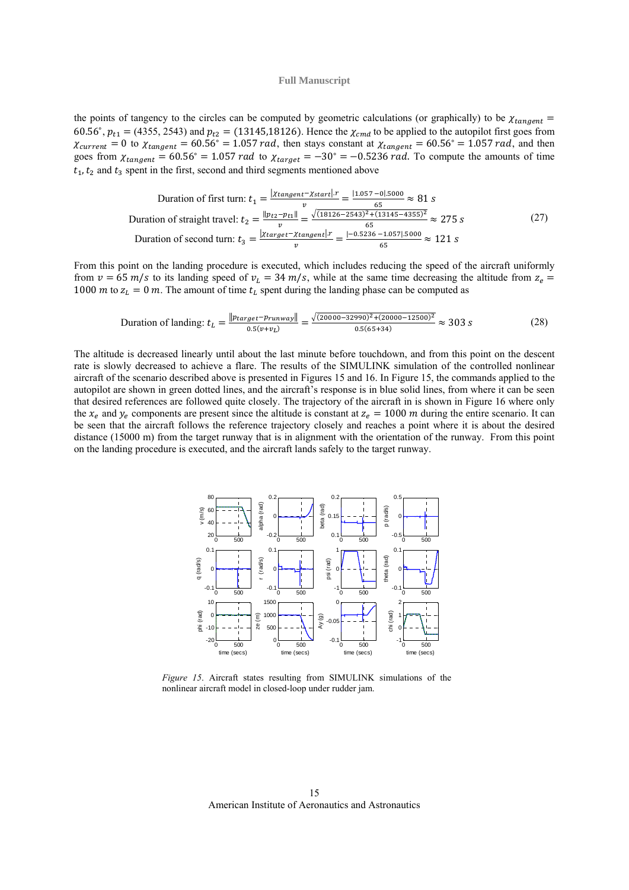the points of tangency to the circles can be computed by geometric calculations (or graphically) to be  $\chi_{tangent}$ 60.56°,  $p_{t1}$  = (4355, 2543) and  $p_{t2}$  = (13145,18126). Hence the  $\chi_{cmd}$  to be applied to the autopilot first goes from  $\chi_{current} = 0$  to  $\chi_{tangent} = 60.56^{\circ} = 1.057$  rad, then stays constant at  $\chi_{tangent} = 60.56^{\circ} = 1.057$  rad, and then goes from  $\chi_{tangent} = 60.56^{\circ} = 1.057$  rad to  $\chi_{target} = -30^{\circ} = -0.5236$  rad. To compute the amounts of time  $t_1, t_2$  and  $t_3$  spent in the first, second and third segments mentioned above

Duration of first turn: \n
$$
t_1 = \frac{|X_{tangent} - X_{start}|^2}{v} = \frac{|1.057 - 0|.5000}{65} \approx 81 \, \text{s}
$$
\n

\nDuration of straight travel: \n $t_2 = \frac{||p_{t2} - p_{t1}||}{v} = \frac{\sqrt{(18126 - 2543)^2 + (13145 - 4355)^2}}{65} \approx 275 \, \text{s}$ \n

\nDuration of second turn: \n $t_3 = \frac{|X_{target} - X_{tangent}|^2}{v} = \frac{|-0.5236 - 1.057|.5000}{65} \approx 121 \, \text{s}$ \n

From this point on the landing procedure is executed, which includes reducing the speed of the aircraft uniformly from  $v = 65$  m/s to its landing speed of  $v_L = 34$  m/s, while at the same time decreasing the altitude from  $z_e =$ 1000 m to  $z_L = 0$  m. The amount of time  $t_L$  spent during the landing phase can be computed as

Duration of landing:

\n
$$
t_L = \frac{\|p_{target} - p_{runway}\|}{0.5(v+v_L)} = \frac{\sqrt{(20000 - 32990)^2 + (20000 - 12500)^2}}{0.5(65 + 34)} \approx 303 \, \text{s}
$$
\n(28)

The altitude is decreased linearly until about the last minute before touchdown, and from this point on the descent rate is slowly decreased to achieve a flare. The results of the SIMULINK simulation of the controlled nonlinear aircraft of the scenario described above is presented in Figures 15 and 16. In Figure 15, the commands applied to the autopilot are shown in green dotted lines, and the aircraft's response is in blue solid lines, from where it can be seen that desired references are followed quite closely. The trajectory of the aircraft in is shown in Figure 16 where only the  $x_e$  and  $y_e$  components are present since the altitude is constant at  $z_e = 1000$  m during the entire scenario. It can be seen that the aircraft follows the reference trajectory closely and reaches a point where it is about the desired distance (15000 m) from the target runway that is in alignment with the orientation of the runway. From this point on the landing procedure is executed, and the aircraft lands safely to the target runway.



*Figure 15*. Aircraft states resulting from SIMULINK simulations of the nonlinear aircraft model in closed-loop under rudder jam.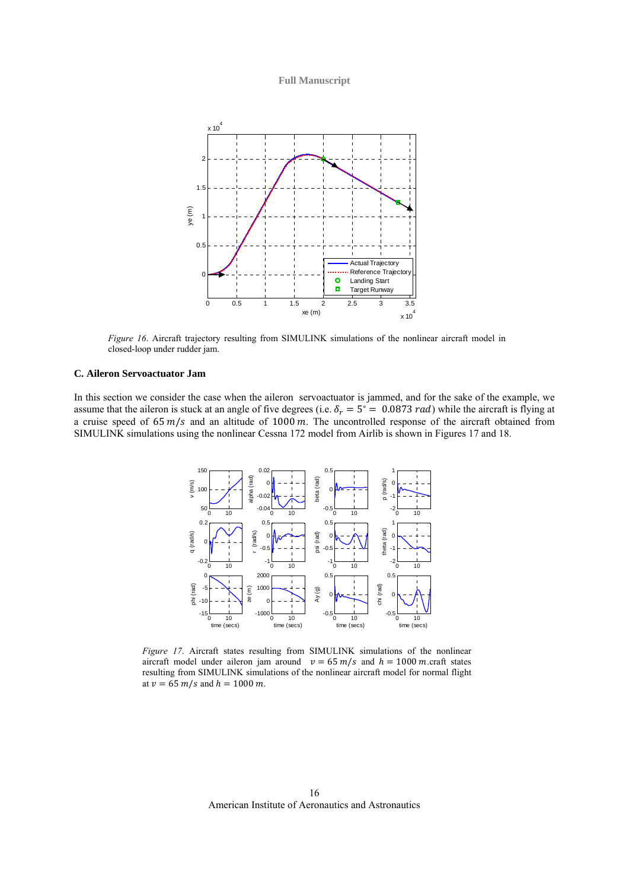

*Figure 16.* Aircraft trajectory resulting from SIMULINK simulations of the nonlinear aircraft model in closed-loop under rudder jam.

## **C. Aileron Servoactuator Jam**

In this section we consider the case when the aileron servoactuator is jammed, and for the sake of the example, we assume that the aileron is stuck at an angle of five degrees (i.e.  $\delta_r = 5^\circ = 0.0873 \, rad$ ) while the aircraft is flying at a cruise speed of  $65 \frac{m}{s}$  and an altitude of 1000 m. The uncontrolled response of the aircraft obtained from SIMULINK simulations using the nonlinear Cessna 172 model from Airlib is shown in Figures 17 and 18.



*Figure 17*. Aircraft states resulting from SIMULINK simulations of the nonlinear aircraft model under aileron jam around  $v = 65$  m/s and  $h = 1000$  m.craft states resulting from SIMULINK simulations of the nonlinear aircraft model for normal flight at  $v = 65 \, m/s$  and  $h = 1000 \, m$ .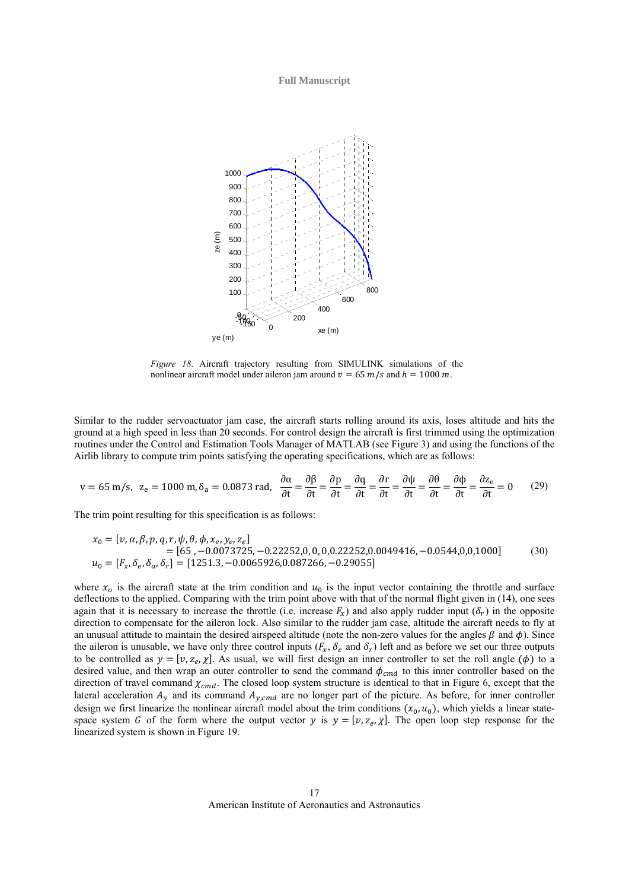

Figure 18. Aircraft trajectory resulting from SIMULINK simulations of the nonlinear aircraft model under aileron jam around  $v = 65$  m/s and  $h = 1000$  m.

Similar to the rudder servoactuator jam case, the aircraft starts rolling around its axis, loses altitude and hits the ground at a high speed in less than 20 seconds. For control design the aircraft is first trimmed using the optimization routines under the Control and Estimation Tools Manager of MATLAB (see Figure 3) and using the functions of the Airlib library to compute trim points satisfying the operating specifications, which are as follows:

$$
v = 65 \text{ m/s}, \ z_e = 1000 \text{ m}, \delta_a = 0.0873 \text{ rad}, \ \frac{\partial \alpha}{\partial t} = \frac{\partial \beta}{\partial t} = \frac{\partial p}{\partial t} = \frac{\partial q}{\partial t} = \frac{\partial r}{\partial t} = \frac{\partial \psi}{\partial t} = \frac{\partial \phi}{\partial t} = \frac{\partial \phi}{\partial t} = \frac{\partial z_e}{\partial t} = 0
$$
 (29)

The trim point resulting for this specification is as follows:

$$
x_0 = [v, \alpha, \beta, p, q, r, \psi, \theta, \phi, x_e, y_e, z_e]
$$
  
= [65, -0.0073725, -0.22252,0, 0, 0, 0.22252,0.0049416, -0.0544,0,0,1000]  

$$
u_0 = [F_x, \delta_e, \delta_a, \delta_r] = [1251.3, -0.0065926, 0.087266, -0.29055]
$$
 (30)

where  $x_0$  is the aircraft state at the trim condition and  $u_0$  is the input vector containing the throttle and surface deflections to the applied. Comparing with the trim point above with that of the normal flight given in (14), one sees again that it is necessary to increase the throttle (i.e. increase  $F_x$ ) and also apply rudder input  $(\delta_r)$  in the opposite direction to compensate for the aileron lock. Also similar to the rudder jam case, altitude the aircraft needs to fly at an unusual attitude to maintain the desired airspeed altitude (note the non-zero values for the angles  $\beta$  and  $\phi$ ). Since the aileron is unusable, we have only three control inputs  $(F_x, \delta_e$  and  $\delta_r$ ) left and as before we set our three outputs to be controlled as  $y = [v, z_e, \chi]$ . As usual, we will first design an inner controller to set the roll angle ( $\phi$ ) to a desired value, and then wrap an outer controller to send the command  $\phi_{cmd}$  to this inner controller based on the direction of travel command  $\chi_{cmd}$ . The closed loop system structure is identical to that in Figure 6, except that the lateral acceleration  $A_y$  and its command  $A_{y,cmd}$  are no longer part of the picture. As before, for inner controller design we first linearize the nonlinear aircraft model about the trim conditions  $(x_0, u_0)$ , which yields a linear statespace system G of the form where the output vector y is  $y = [v, z_e, \chi]$ . The open loop step response for the linearized system is shown in Figure 19.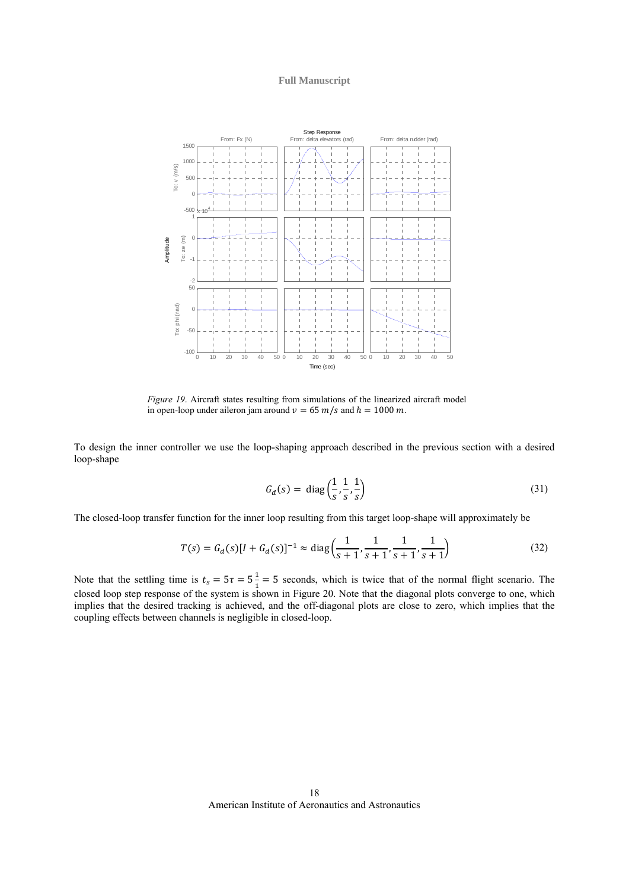

*Figure 19*. Aircraft states resulting from simulations of the linearized aircraft model in open-loop under aileron jam around  $v = 65$  m/s and  $h = 1000$  m.

To design the inner controller we use the loop-shaping approach described in the previous section with a desired loop-shape

$$
G_d(s) = \text{diag}\left(\frac{1}{s}, \frac{1}{s}, \frac{1}{s}\right) \tag{31}
$$

The closed-loop transfer function for the inner loop resulting from this target loop-shape will approximately be

$$
T(s) = G_d(s)[I + G_d(s)]^{-1} \approx \text{diag}\left(\frac{1}{s+1}, \frac{1}{s+1}, \frac{1}{s+1}, \frac{1}{s+1}\right)
$$
(32)

Note that the settling time is  $t_s = 5\tau = 5\frac{1}{1} = 5$  seconds, which is twice that of the normal flight scenario. The closed loop step response of the system is shown in Figure 20. Note that the diagonal plots converge to one, which implies that the desired tracking is achieved, and the off-diagonal plots are close to zero, which implies that the coupling effects between channels is negligible in closed-loop.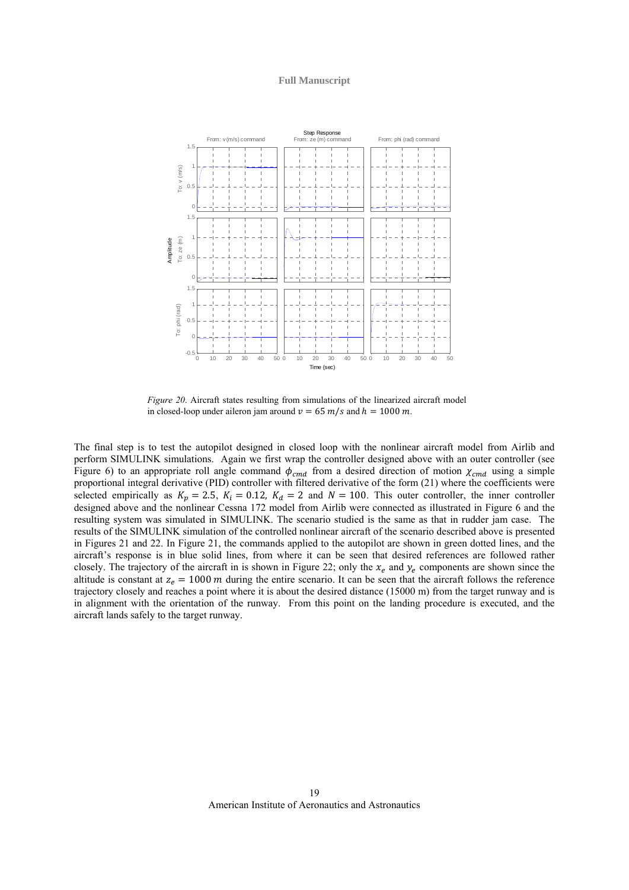

*Figure 20.* Aircraft states resulting from simulations of the linearized aircraft model in closed-loop under aileron jam around  $v = 65$  m/s and  $h = 1000$  m.

The final step is to test the autopilot designed in closed loop with the nonlinear aircraft model from Airlib and perform SIMULINK simulations. Again we first wrap the controller designed above with an outer controller (see Figure 6) to an appropriate roll angle command  $\phi_{cmd}$  from a desired direction of motion  $\chi_{cmd}$  using a simple proportional integral derivative (PID) controller with filtered derivative of the form (21) where the coefficients were selected empirically as  $K_p = 2.5$ ,  $K_i = 0.12$ ,  $K_d = 2$  and  $N = 100$ . This outer controller, the inner controller designed above and the nonlinear Cessna 172 model from Airlib were connected as illustrated in Figure 6 and the resulting system was simulated in SIMULINK. The scenario studied is the same as that in rudder jam case. The results of the SIMULINK simulation of the controlled nonlinear aircraft of the scenario described above is presented in Figures 21 and 22. In Figure 21, the commands applied to the autopilot are shown in green dotted lines, and the aircraft's response is in blue solid lines, from where it can be seen that desired references are followed rather closely. The trajectory of the aircraft in is shown in Figure 22; only the  $x_e$  and  $y_e$  components are shown since the altitude is constant at  $z_e = 1000 \text{ m}$  during the entire scenario. It can be seen that the aircraft follows the reference trajectory closely and reaches a point where it is about the desired distance (15000 m) from the target runway and is in alignment with the orientation of the runway. From this point on the landing procedure is executed, and the aircraft lands safely to the target runway.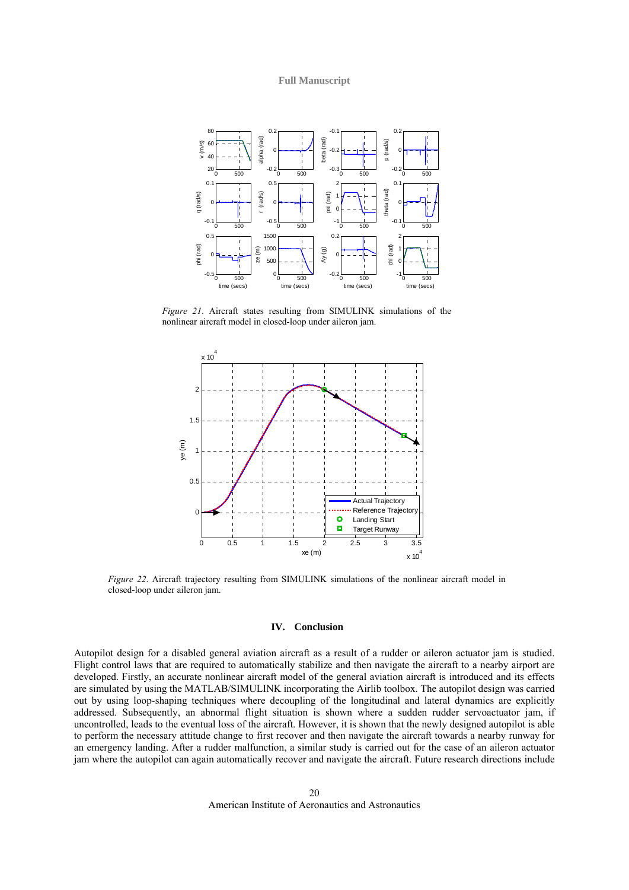

*Figure 21*. Aircraft states resulting from SIMULINK simulations of the nonlinear aircraft model in closed-loop under aileron jam.



*Figure 22.* Aircraft trajectory resulting from SIMULINK simulations of the nonlinear aircraft model in closed-loop under aileron jam.

#### **IV. Conclusion**

Autopilot design for a disabled general aviation aircraft as a result of a rudder or aileron actuator jam is studied. Flight control laws that are required to automatically stabilize and then navigate the aircraft to a nearby airport are developed. Firstly, an accurate nonlinear aircraft model of the general aviation aircraft is introduced and its effects are simulated by using the MATLAB/SIMULINK incorporating the Airlib toolbox. The autopilot design was carried out by using loop-shaping techniques where decoupling of the longitudinal and lateral dynamics are explicitly addressed. Subsequently, an abnormal flight situation is shown where a sudden rudder servoactuator jam, if uncontrolled, leads to the eventual loss of the aircraft. However, it is shown that the newly designed autopilot is able to perform the necessary attitude change to first recover and then navigate the aircraft towards a nearby runway for an emergency landing. After a rudder malfunction, a similar study is carried out for the case of an aileron actuator jam where the autopilot can again automatically recover and navigate the aircraft. Future research directions include